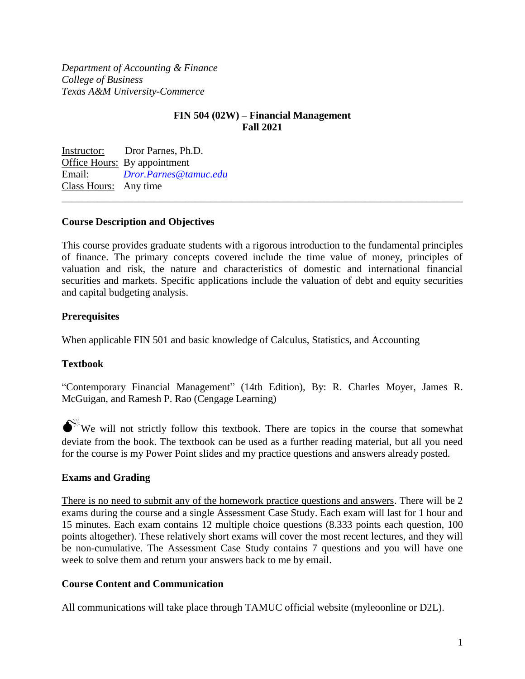*Department of Accounting & Finance College of Business Texas A&M University-Commerce* 

# **FIN 504 (02W) – Financial Management Fall 2021**

Instructor: Dror Parnes, Ph.D. Office Hours: By appointment Email: *[Dror.Parnes@tamuc.edu](mailto:Dror.Parnes@tamuc.edu)* Class Hours: Any time \_\_\_\_\_\_\_\_\_\_\_\_\_\_\_\_\_\_\_\_\_\_\_\_\_\_\_\_\_\_\_\_\_\_\_\_\_\_\_\_\_\_\_\_\_\_\_\_\_\_\_\_\_\_\_\_\_\_\_\_\_\_\_\_\_\_\_\_\_\_\_\_\_\_\_\_\_\_

## **Course Description and Objectives**

This course provides graduate students with a rigorous introduction to the fundamental principles of finance. The primary concepts covered include the time value of money, principles of valuation and risk, the nature and characteristics of domestic and international financial securities and markets. Specific applications include the valuation of debt and equity securities and capital budgeting analysis.

## **Prerequisites**

When applicable FIN 501 and basic knowledge of Calculus, Statistics, and Accounting

### **Textbook**

"Contemporary Financial Management" (14th Edition), By: R. Charles Moyer, James R. McGuigan, and Ramesh P. Rao (Cengage Learning)

 $\bigotimes^{\mathbb{K}}$  We will not strictly follow this textbook. There are topics in the course that somewhat deviate from the book. The textbook can be used as a further reading material, but all you need for the course is my Power Point slides and my practice questions and answers already posted.

### **Exams and Grading**

There is no need to submit any of the homework practice questions and answers. There will be 2 exams during the course and a single Assessment Case Study. Each exam will last for 1 hour and 15 minutes. Each exam contains 12 multiple choice questions (8.333 points each question, 100 points altogether). These relatively short exams will cover the most recent lectures, and they will be non-cumulative. The Assessment Case Study contains 7 questions and you will have one week to solve them and return your answers back to me by email.

### **Course Content and Communication**

All communications will take place through TAMUC official website (myleoonline or D2L).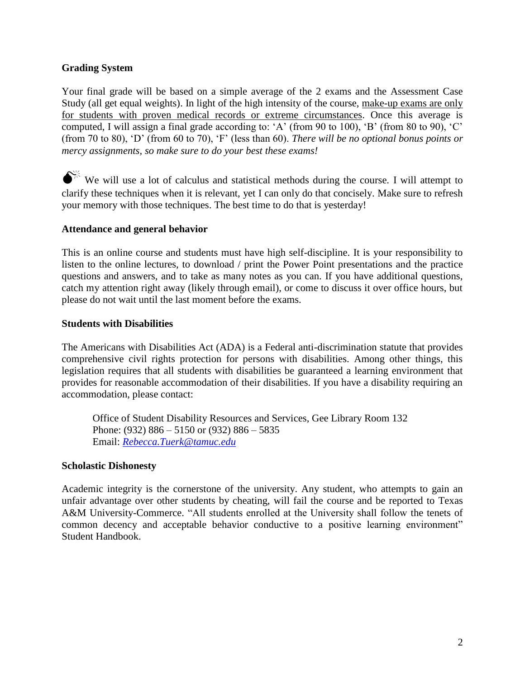## **Grading System**

Your final grade will be based on a simple average of the 2 exams and the Assessment Case Study (all get equal weights). In light of the high intensity of the course, make-up exams are only for students with proven medical records or extreme circumstances. Once this average is computed, I will assign a final grade according to: 'A' (from 90 to 100), 'B' (from 80 to 90), 'C' (from 70 to 80), 'D' (from 60 to 70), 'F' (less than 60). *There will be no optional bonus points or mercy assignments, so make sure to do your best these exams!*

 $\bigotimes^{\mathbb{X}}$  We will use a lot of calculus and statistical methods during the course. I will attempt to clarify these techniques when it is relevant, yet I can only do that concisely. Make sure to refresh your memory with those techniques. The best time to do that is yesterday!

## **Attendance and general behavior**

This is an online course and students must have high self-discipline. It is your responsibility to listen to the online lectures, to download / print the Power Point presentations and the practice questions and answers, and to take as many notes as you can. If you have additional questions, catch my attention right away (likely through email), or come to discuss it over office hours, but please do not wait until the last moment before the exams.

### **Students with Disabilities**

The Americans with Disabilities Act (ADA) is a Federal anti-discrimination statute that provides comprehensive civil rights protection for persons with disabilities. Among other things, this legislation requires that all students with disabilities be guaranteed a learning environment that provides for reasonable accommodation of their disabilities. If you have a disability requiring an accommodation, please contact:

Office of Student Disability Resources and Services, Gee Library Room 132 Phone: (932) 886 – 5150 or (932) 886 – 5835 Email: *[Rebecca.Tuerk@tamuc.edu](mailto:Rebecca.Tuerk@tamuc.edu)*

### **Scholastic Dishonesty**

Academic integrity is the cornerstone of the university. Any student, who attempts to gain an unfair advantage over other students by cheating, will fail the course and be reported to Texas A&M University-Commerce. "All students enrolled at the University shall follow the tenets of common decency and acceptable behavior conductive to a positive learning environment" Student Handbook.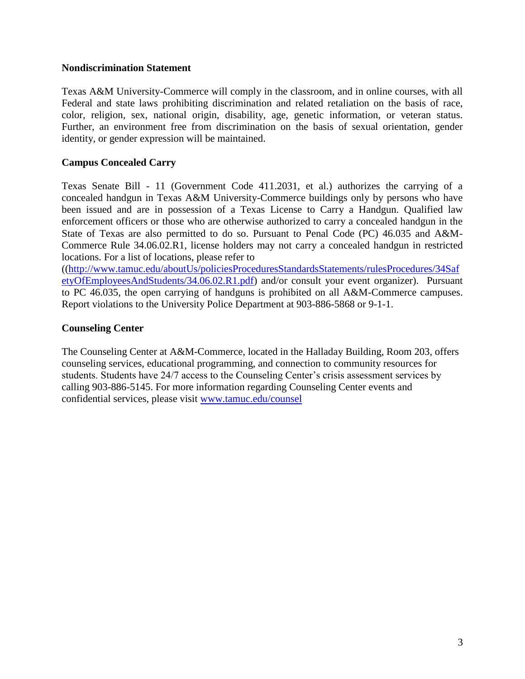### **Nondiscrimination Statement**

Texas A&M University-Commerce will comply in the classroom, and in online courses, with all Federal and state laws prohibiting discrimination and related retaliation on the basis of race, color, religion, sex, national origin, disability, age, genetic information, or veteran status. Further, an environment free from discrimination on the basis of sexual orientation, gender identity, or gender expression will be maintained.

# **Campus Concealed Carry**

Texas Senate Bill - 11 (Government Code 411.2031, et al.) authorizes the carrying of a concealed handgun in Texas A&M University-Commerce buildings only by persons who have been issued and are in possession of a Texas License to Carry a Handgun. Qualified law enforcement officers or those who are otherwise authorized to carry a concealed handgun in the State of Texas are also permitted to do so. Pursuant to Penal Code (PC) 46.035 and A&M-Commerce Rule 34.06.02.R1, license holders may not carry a concealed handgun in restricted locations. For a list of locations, please refer to

([\(http://www.tamuc.edu/aboutUs/policiesProceduresStandardsStatements/rulesProcedures/34Saf](http://www.tamuc.edu/aboutUs/policiesProceduresStandardsStatements/rulesProcedures/34SafetyOfEmployeesAndStudents/34.06.02.R1.pdf) [etyOfEmployeesAndStudents/34.06.02.R1.pdf\)](http://www.tamuc.edu/aboutUs/policiesProceduresStandardsStatements/rulesProcedures/34SafetyOfEmployeesAndStudents/34.06.02.R1.pdf) and/or consult your event organizer). Pursuant to PC 46.035, the open carrying of handguns is prohibited on all A&M-Commerce campuses. Report violations to the University Police Department at 903-886-5868 or 9-1-1.

## **Counseling Center**

The Counseling Center at A&M-Commerce, located in the Halladay Building, Room 203, offers counseling services, educational programming, and connection to community resources for students. Students have 24/7 access to the Counseling Center's crisis assessment services by calling 903-886-5145. For more information regarding Counseling Center events and confidential services, please visit [www.tamuc.edu/counsel](http://www.tamuc.edu/counsel)